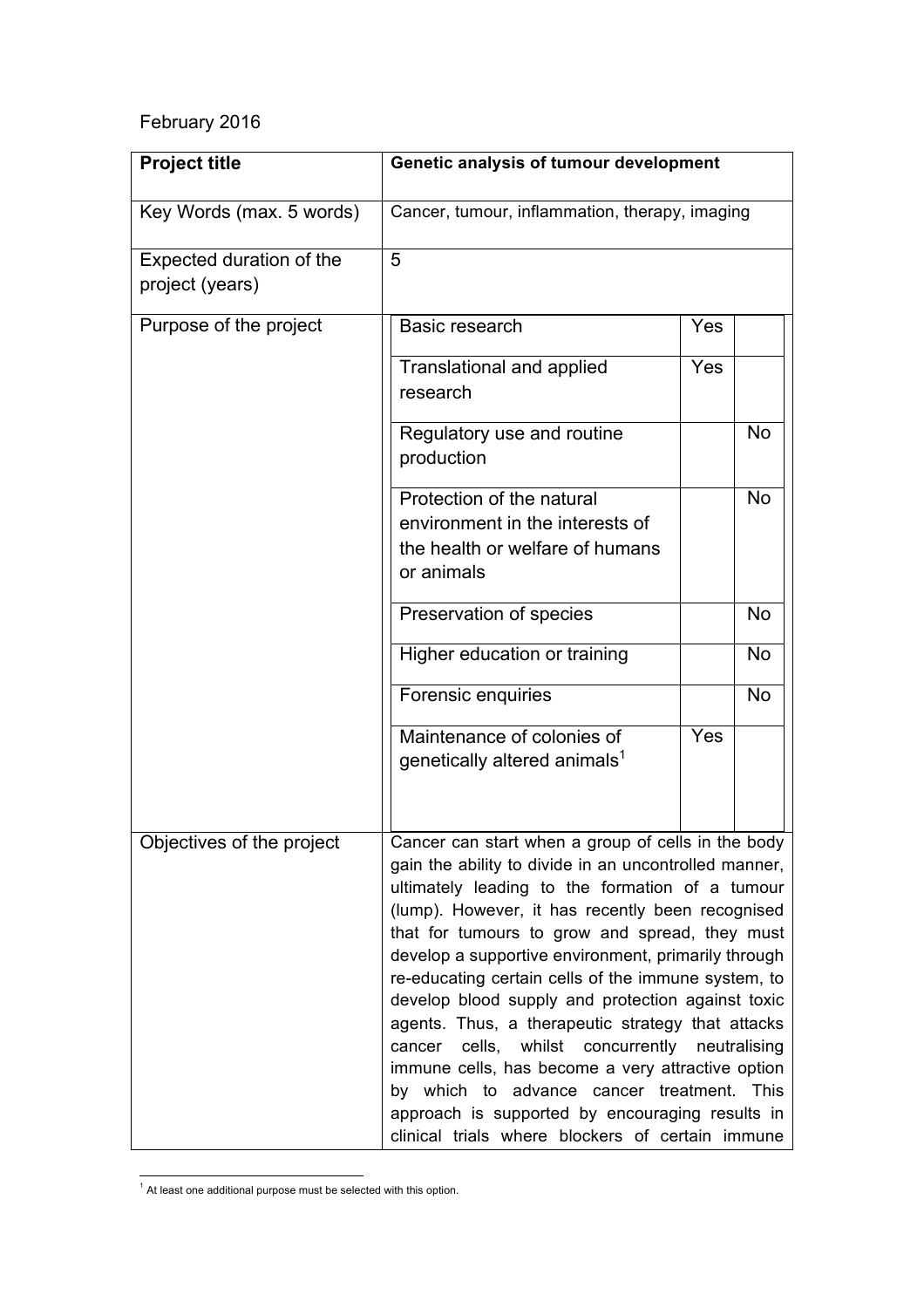## February 2016

| <b>Project title</b>                        | Genetic analysis of tumour development                                                                                                                                                                                                                                                                                                                                                                                                                                                                                                                                                                                                                                                                                                                         |     |           |
|---------------------------------------------|----------------------------------------------------------------------------------------------------------------------------------------------------------------------------------------------------------------------------------------------------------------------------------------------------------------------------------------------------------------------------------------------------------------------------------------------------------------------------------------------------------------------------------------------------------------------------------------------------------------------------------------------------------------------------------------------------------------------------------------------------------------|-----|-----------|
| Key Words (max. 5 words)                    | Cancer, tumour, inflammation, therapy, imaging                                                                                                                                                                                                                                                                                                                                                                                                                                                                                                                                                                                                                                                                                                                 |     |           |
| Expected duration of the<br>project (years) | 5                                                                                                                                                                                                                                                                                                                                                                                                                                                                                                                                                                                                                                                                                                                                                              |     |           |
| Purpose of the project                      | Basic research                                                                                                                                                                                                                                                                                                                                                                                                                                                                                                                                                                                                                                                                                                                                                 | Yes |           |
|                                             | Translational and applied<br>research                                                                                                                                                                                                                                                                                                                                                                                                                                                                                                                                                                                                                                                                                                                          | Yes |           |
|                                             | Regulatory use and routine<br>production                                                                                                                                                                                                                                                                                                                                                                                                                                                                                                                                                                                                                                                                                                                       |     | <b>No</b> |
|                                             | Protection of the natural<br>environment in the interests of<br>the health or welfare of humans<br>or animals                                                                                                                                                                                                                                                                                                                                                                                                                                                                                                                                                                                                                                                  |     | <b>No</b> |
|                                             | Preservation of species                                                                                                                                                                                                                                                                                                                                                                                                                                                                                                                                                                                                                                                                                                                                        |     | <b>No</b> |
|                                             | Higher education or training                                                                                                                                                                                                                                                                                                                                                                                                                                                                                                                                                                                                                                                                                                                                   |     | <b>No</b> |
|                                             | Forensic enquiries                                                                                                                                                                                                                                                                                                                                                                                                                                                                                                                                                                                                                                                                                                                                             |     | <b>No</b> |
|                                             | Maintenance of colonies of<br>genetically altered animals <sup>1</sup>                                                                                                                                                                                                                                                                                                                                                                                                                                                                                                                                                                                                                                                                                         | Yes |           |
| Objectives of the project                   | Cancer can start when a group of cells in the body<br>gain the ability to divide in an uncontrolled manner,<br>ultimately leading to the formation of a tumour<br>(lump). However, it has recently been recognised<br>that for tumours to grow and spread, they must<br>develop a supportive environment, primarily through<br>re-educating certain cells of the immune system, to<br>develop blood supply and protection against toxic<br>agents. Thus, a therapeutic strategy that attacks<br>cells, whilst concurrently<br>cancer<br>neutralising<br>immune cells, has become a very attractive option<br>by which to advance cancer treatment. This<br>approach is supported by encouraging results in<br>clinical trials where blockers of certain immune |     |           |

 $<sup>1</sup>$  At least one additional purpose must be selected with this option.</sup>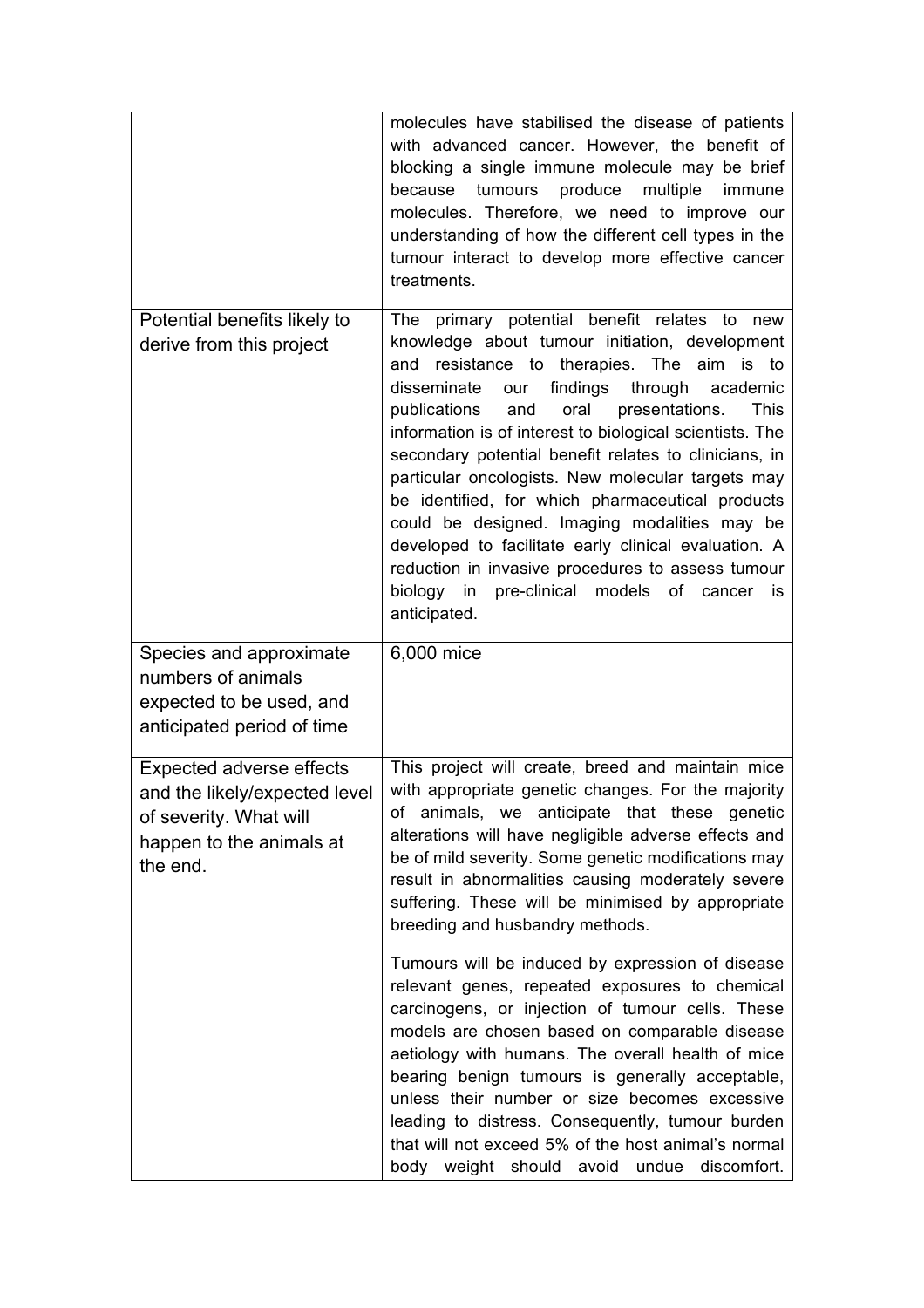|                                                                                                                                    | molecules have stabilised the disease of patients<br>with advanced cancer. However, the benefit of<br>blocking a single immune molecule may be brief<br>tumours produce<br>multiple<br>because<br>immune<br>molecules. Therefore, we need to improve our<br>understanding of how the different cell types in the<br>tumour interact to develop more effective cancer<br>treatments.                                                                                                                                                                                                                                                                                                                                                 |
|------------------------------------------------------------------------------------------------------------------------------------|-------------------------------------------------------------------------------------------------------------------------------------------------------------------------------------------------------------------------------------------------------------------------------------------------------------------------------------------------------------------------------------------------------------------------------------------------------------------------------------------------------------------------------------------------------------------------------------------------------------------------------------------------------------------------------------------------------------------------------------|
| Potential benefits likely to<br>derive from this project                                                                           | The primary potential benefit relates to new<br>knowledge about tumour initiation, development<br>and resistance to therapies. The<br>aim<br>is to<br>our findings through<br>disseminate<br>academic<br>publications<br>oral<br>presentations.<br><b>This</b><br>and<br>information is of interest to biological scientists. The<br>secondary potential benefit relates to clinicians, in<br>particular oncologists. New molecular targets may<br>be identified, for which pharmaceutical products<br>could be designed. Imaging modalities may be<br>developed to facilitate early clinical evaluation. A<br>reduction in invasive procedures to assess tumour<br>biology in pre-clinical models of cancer<br>is.<br>anticipated. |
| Species and approximate<br>numbers of animals<br>expected to be used, and<br>anticipated period of time                            | 6,000 mice                                                                                                                                                                                                                                                                                                                                                                                                                                                                                                                                                                                                                                                                                                                          |
| <b>Expected adverse effects</b><br>and the likely/expected level<br>of severity. What will<br>happen to the animals at<br>the end. | This project will create, breed and maintain mice<br>with appropriate genetic changes. For the majority<br>of animals, we anticipate that these genetic<br>alterations will have negligible adverse effects and<br>be of mild severity. Some genetic modifications may<br>result in abnormalities causing moderately severe<br>suffering. These will be minimised by appropriate<br>breeding and husbandry methods.                                                                                                                                                                                                                                                                                                                 |
|                                                                                                                                    | Tumours will be induced by expression of disease<br>relevant genes, repeated exposures to chemical<br>carcinogens, or injection of tumour cells. These<br>models are chosen based on comparable disease<br>aetiology with humans. The overall health of mice<br>bearing benign tumours is generally acceptable,<br>unless their number or size becomes excessive<br>leading to distress. Consequently, tumour burden<br>that will not exceed 5% of the host animal's normal<br>body weight should avoid<br>undue<br>discomfort.                                                                                                                                                                                                     |